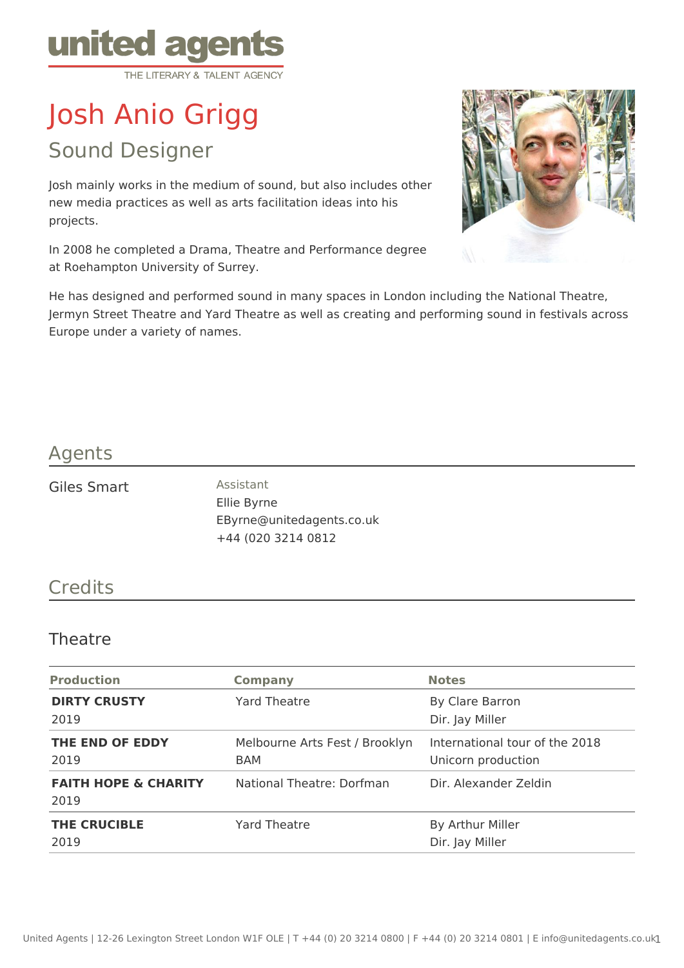

# Josh Anio Grigg Sound Designer

Josh mainly works in the medium of sound, but also includes other new media practices as well as arts facilitation ideas into his projects.

In 2008 he completed a Drama, Theatre and Performance degree at Roehampton University of Surrey.



He has designed and performed sound in many spaces in London including the National Theatre, Jermyn Street Theatre and Yard Theatre as well as creating and performing sound in festivals across Europe under a variety of names.

### Agents

#### Giles Smart Assistant

Ellie Byrne EByrne@unitedagents.co.uk +44 (020 3214 0812

# **Credits**

#### Theatre

| <b>Production</b>                       | <b>Company</b>                               | <b>Notes</b>                                         |
|-----------------------------------------|----------------------------------------------|------------------------------------------------------|
| <b>DIRTY CRUSTY</b><br>2019             | Yard Theatre                                 | By Clare Barron<br>Dir. Jay Miller                   |
| THE END OF EDDY<br>2019                 | Melbourne Arts Fest / Brooklyn<br><b>BAM</b> | International tour of the 2018<br>Unicorn production |
| <b>FAITH HOPE &amp; CHARITY</b><br>2019 | National Theatre: Dorfman                    | Dir. Alexander Zeldin                                |
| <b>THE CRUCIBLE</b><br>2019             | <b>Yard Theatre</b>                          | By Arthur Miller<br>Dir. Jay Miller                  |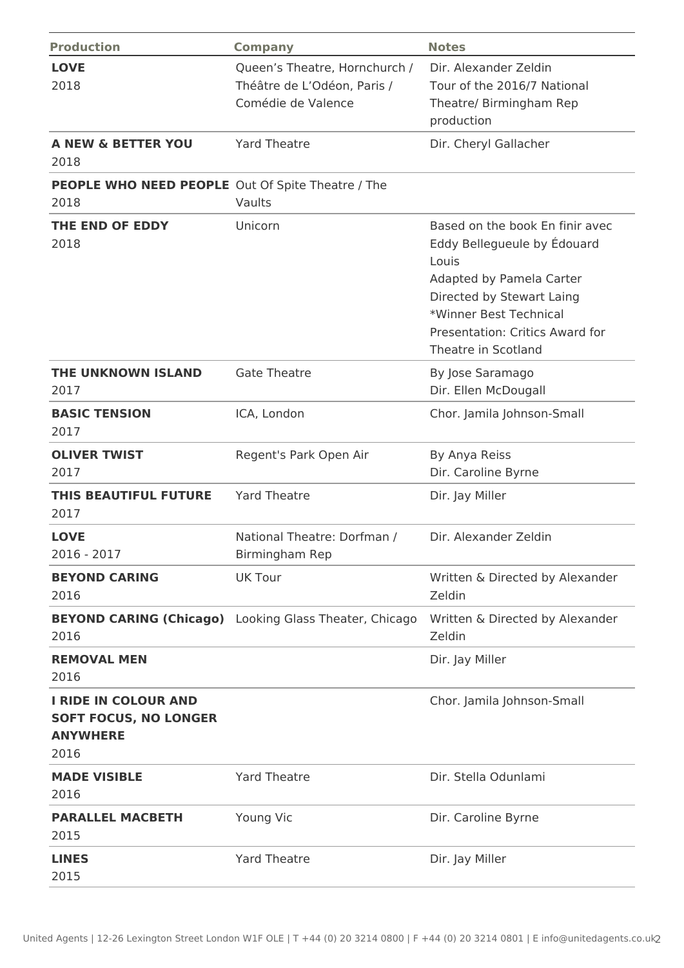| <b>Production</b>                                                                      | <b>Company</b>                                                                     | <b>Notes</b>                                                                                                                                                                                                         |  |
|----------------------------------------------------------------------------------------|------------------------------------------------------------------------------------|----------------------------------------------------------------------------------------------------------------------------------------------------------------------------------------------------------------------|--|
| <b>LOVE</b><br>2018                                                                    | Queen's Theatre, Hornchurch /<br>Théâtre de L'Odéon, Paris /<br>Comédie de Valence | Dir. Alexander Zeldin<br>Tour of the 2016/7 National<br>Theatre/ Birmingham Rep<br>production                                                                                                                        |  |
| <b>A NEW &amp; BETTER YOU</b><br>2018                                                  | <b>Yard Theatre</b>                                                                | Dir. Cheryl Gallacher                                                                                                                                                                                                |  |
| <b>PEOPLE WHO NEED PEOPLE</b> Out Of Spite Theatre / The<br>2018                       | Vaults                                                                             |                                                                                                                                                                                                                      |  |
| THE END OF EDDY<br>2018                                                                | Unicorn                                                                            | Based on the book En finir avec<br>Eddy Bellegueule by Édouard<br>Louis<br>Adapted by Pamela Carter<br>Directed by Stewart Laing<br>*Winner Best Technical<br>Presentation: Critics Award for<br>Theatre in Scotland |  |
| <b>THE UNKNOWN ISLAND</b><br>2017                                                      | <b>Gate Theatre</b>                                                                | By Jose Saramago<br>Dir. Ellen McDougall                                                                                                                                                                             |  |
| <b>BASIC TENSION</b><br>2017                                                           | ICA, London                                                                        | Chor. Jamila Johnson-Small                                                                                                                                                                                           |  |
| <b>OLIVER TWIST</b><br>2017                                                            | Regent's Park Open Air                                                             | By Anya Reiss<br>Dir. Caroline Byrne                                                                                                                                                                                 |  |
| <b>THIS BEAUTIFUL FUTURE</b><br>2017                                                   | <b>Yard Theatre</b>                                                                | Dir. Jay Miller                                                                                                                                                                                                      |  |
| <b>LOVE</b><br>2016 - 2017                                                             | National Theatre: Dorfman /<br>Birmingham Rep                                      | Dir. Alexander Zeldin                                                                                                                                                                                                |  |
| <b>BEYOND CARING</b><br>2016                                                           | <b>UK Tour</b>                                                                     | Written & Directed by Alexander<br>Zeldin                                                                                                                                                                            |  |
| 2016                                                                                   | <b>BEYOND CARING (Chicago)</b> Looking Glass Theater, Chicago                      | Written & Directed by Alexander<br>Zeldin                                                                                                                                                                            |  |
| <b>REMOVAL MEN</b><br>2016                                                             |                                                                                    | Dir. Jay Miller                                                                                                                                                                                                      |  |
| <b>I RIDE IN COLOUR AND</b><br><b>SOFT FOCUS, NO LONGER</b><br><b>ANYWHERE</b><br>2016 |                                                                                    | Chor. Jamila Johnson-Small                                                                                                                                                                                           |  |
| <b>MADE VISIBLE</b><br>2016                                                            | <b>Yard Theatre</b>                                                                | Dir. Stella Odunlami                                                                                                                                                                                                 |  |
| <b>PARALLEL MACBETH</b><br>2015                                                        | Young Vic                                                                          | Dir. Caroline Byrne                                                                                                                                                                                                  |  |
| <b>LINES</b><br>2015                                                                   | <b>Yard Theatre</b>                                                                | Dir. Jay Miller                                                                                                                                                                                                      |  |